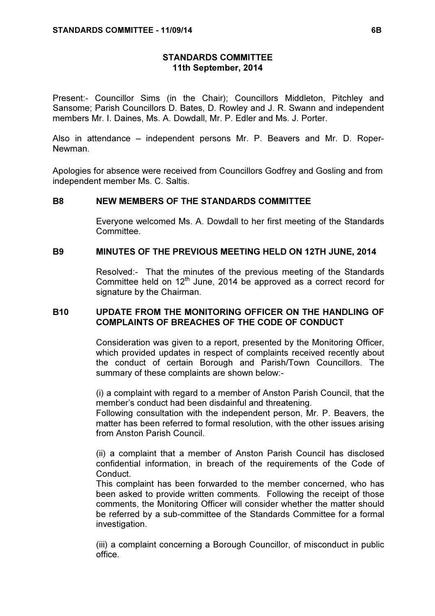### STANDARDS COMMITTEE 11th September, 2014

Present:- Councillor Sims (in the Chair); Councillors Middleton, Pitchley and Sansome; Parish Councillors D. Bates, D. Rowley and J. R. Swann and independent members Mr. I. Daines, Ms. A. Dowdall, Mr. P. Edler and Ms. J. Porter.

Also in attendance – independent persons Mr. P. Beavers and Mr. D. Roper-Newman.

Apologies for absence were received from Councillors Godfrey and Gosling and from independent member Ms. C. Saltis.

#### B8 NEW MEMBERS OF THE STANDARDS COMMITTEE

 Everyone welcomed Ms. A. Dowdall to her first meeting of the Standards **Committee.** 

#### B9 MINUTES OF THE PREVIOUS MEETING HELD ON 12TH JUNE, 2014

 Resolved:- That the minutes of the previous meeting of the Standards Committee held on  $12<sup>th</sup>$  June, 2014 be approved as a correct record for signature by the Chairman.

#### B10 UPDATE FROM THE MONITORING OFFICER ON THE HANDLING OF COMPLAINTS OF BREACHES OF THE CODE OF CONDUCT

 Consideration was given to a report, presented by the Monitoring Officer, which provided updates in respect of complaints received recently about the conduct of certain Borough and Parish/Town Councillors. The summary of these complaints are shown below:-

(i) a complaint with regard to a member of Anston Parish Council, that the member's conduct had been disdainful and threatening.

Following consultation with the independent person, Mr. P. Beavers, the matter has been referred to formal resolution, with the other issues arising from Anston Parish Council.

(ii) a complaint that a member of Anston Parish Council has disclosed confidential information, in breach of the requirements of the Code of Conduct.

This complaint has been forwarded to the member concerned, who has been asked to provide written comments. Following the receipt of those comments, the Monitoring Officer will consider whether the matter should be referred by a sub-committee of the Standards Committee for a formal investigation.

(iii) a complaint concerning a Borough Councillor, of misconduct in public office.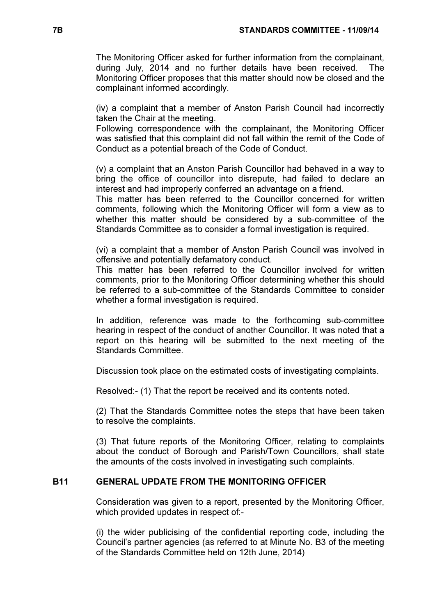The Monitoring Officer asked for further information from the complainant, during July, 2014 and no further details have been received. The Monitoring Officer proposes that this matter should now be closed and the complainant informed accordingly.

(iv) a complaint that a member of Anston Parish Council had incorrectly taken the Chair at the meeting.

Following correspondence with the complainant, the Monitoring Officer was satisfied that this complaint did not fall within the remit of the Code of Conduct as a potential breach of the Code of Conduct.

(v) a complaint that an Anston Parish Councillor had behaved in a way to bring the office of councillor into disrepute, had failed to declare an interest and had improperly conferred an advantage on a friend.

This matter has been referred to the Councillor concerned for written comments, following which the Monitoring Officer will form a view as to whether this matter should be considered by a sub-committee of the Standards Committee as to consider a formal investigation is required.

(vi) a complaint that a member of Anston Parish Council was involved in offensive and potentially defamatory conduct.

This matter has been referred to the Councillor involved for written comments, prior to the Monitoring Officer determining whether this should be referred to a sub-committee of the Standards Committee to consider whether a formal investigation is required.

In addition, reference was made to the forthcoming sub-committee hearing in respect of the conduct of another Councillor. It was noted that a report on this hearing will be submitted to the next meeting of the Standards Committee.

Discussion took place on the estimated costs of investigating complaints.

Resolved:- (1) That the report be received and its contents noted.

(2) That the Standards Committee notes the steps that have been taken to resolve the complaints.

(3) That future reports of the Monitoring Officer, relating to complaints about the conduct of Borough and Parish/Town Councillors, shall state the amounts of the costs involved in investigating such complaints.

# B11 GENERAL UPDATE FROM THE MONITORING OFFICER

 Consideration was given to a report, presented by the Monitoring Officer, which provided updates in respect of:-

(i) the wider publicising of the confidential reporting code, including the Council's partner agencies (as referred to at Minute No. B3 of the meeting of the Standards Committee held on 12th June, 2014)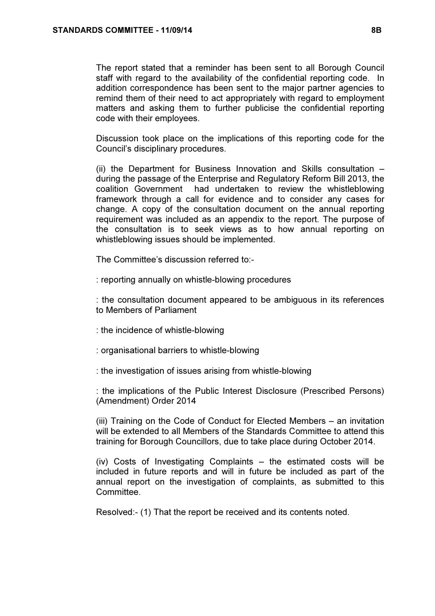The report stated that a reminder has been sent to all Borough Council staff with regard to the availability of the confidential reporting code. In addition correspondence has been sent to the major partner agencies to remind them of their need to act appropriately with regard to employment matters and asking them to further publicise the confidential reporting code with their employees.

Discussion took place on the implications of this reporting code for the Council's disciplinary procedures.

(ii) the Department for Business Innovation and Skills consultation – during the passage of the Enterprise and Regulatory Reform Bill 2013, the coalition Government had undertaken to review the whistleblowing framework through a call for evidence and to consider any cases for change. A copy of the consultation document on the annual reporting requirement was included as an appendix to the report. The purpose of the consultation is to seek views as to how annual reporting on whistleblowing issues should be implemented.

The Committee's discussion referred to:-

: reporting annually on whistle-blowing procedures

: the consultation document appeared to be ambiguous in its references to Members of Parliament

- : the incidence of whistle-blowing
- : organisational barriers to whistle-blowing
- : the investigation of issues arising from whistle-blowing

: the implications of the Public Interest Disclosure (Prescribed Persons) (Amendment) Order 2014

(iii) Training on the Code of Conduct for Elected Members – an invitation will be extended to all Members of the Standards Committee to attend this training for Borough Councillors, due to take place during October 2014.

(iv) Costs of Investigating Complaints – the estimated costs will be included in future reports and will in future be included as part of the annual report on the investigation of complaints, as submitted to this Committee.

Resolved:- (1) That the report be received and its contents noted.